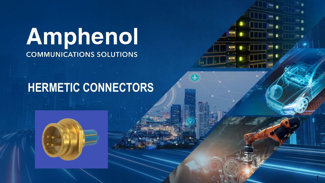# Amphenol **COMMUNICATIONS SOLUTIONS**

## **HERMETIC CONNECTORS**

1

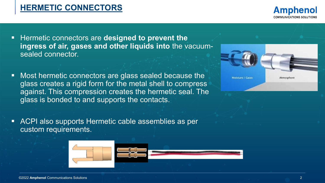

- Most hermetic connectors are glass sealed because the glass creates a rigid form for the metal shell to compress against. This compression creates the hermetic seal. The glass is bonded to and supports the contacts.
- ACPI also supports Hermetic cable assemblies as per custom requirements.



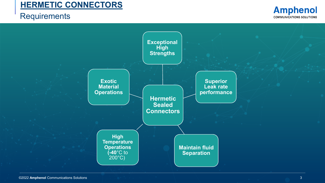### **Requirements**



**Amphenol COMMUNICATIONS SOLUTIONS**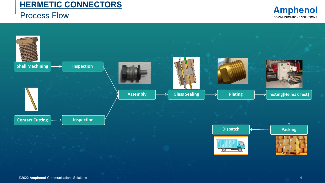#### Process Flow



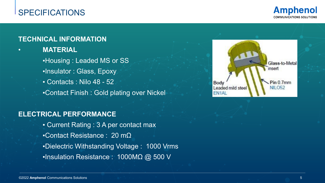## SPECIFICATIONS



#### **TECHNICAL INFORMATION**

• **MATERIAL** 

**.Housing : Leaded MS or SS** ▪Insulator : Glass, Epoxy ▪ Contacts : Nilo 48 - 52 ▪Contact Finish : Gold plating over Nickel

#### **ELECTRICAL PERFORMANCE**

**Example 2 A Current Rating : 3 A per contact max** ▪Contact Resistance : 20 mΩ ▪Dielectric Withstanding Voltage : 1000 Vrms ▪Insulation Resistance : 1000MΩ @ 500 V

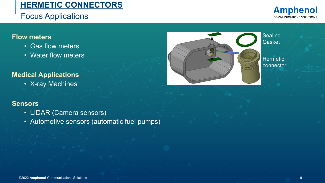## Focus Applications

#### **Flow meters**

- Gas flow meters
- Water flow meters

#### **Medical Applications**

• X-ray Machines

#### **Sensors**

- LIDAR (Camera sensors)
- Automotive sensors (automatic fuel pumps)



**Amphenol COMMUNICATIONS SOLUTIONS**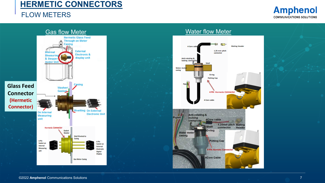#### FLOW METERS



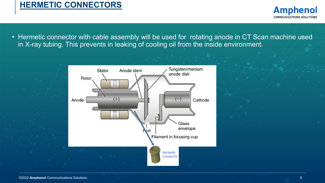**Amphenol COMMUNICATIONS SOLUTIONS** 

• Hermetic connector with cable assembly will be used for rotating anode in CT Scan machine used in X-ray tubing. This prevents in leaking of cooling oil from the inside environment.